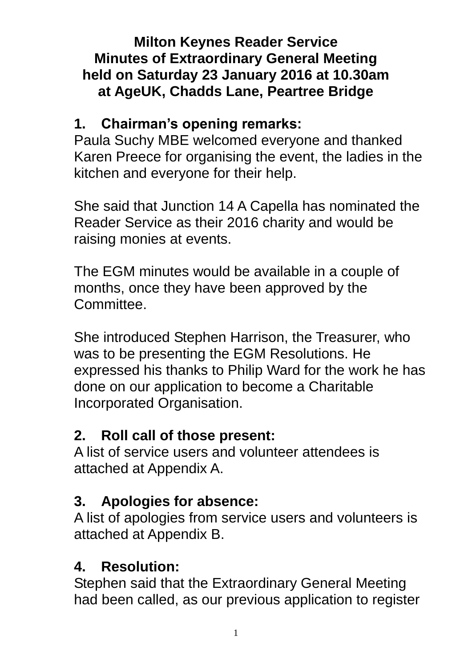### **Milton Keynes Reader Service Minutes of Extraordinary General Meeting held on Saturday 23 January 2016 at 10.30am at AgeUK, Chadds Lane, Peartree Bridge**

### **1. Chairman's opening remarks:**

Paula Suchy MBE welcomed everyone and thanked Karen Preece for organising the event, the ladies in the kitchen and everyone for their help.

She said that Junction 14 A Capella has nominated the Reader Service as their 2016 charity and would be raising monies at events.

The EGM minutes would be available in a couple of months, once they have been approved by the Committee.

She introduced Stephen Harrison, the Treasurer, who was to be presenting the EGM Resolutions. He expressed his thanks to Philip Ward for the work he has done on our application to become a Charitable Incorporated Organisation.

## **2. Roll call of those present:**

A list of service users and volunteer attendees is attached at Appendix A.

## **3. Apologies for absence:**

A list of apologies from service users and volunteers is attached at Appendix B.

# **4. Resolution:**

Stephen said that the Extraordinary General Meeting had been called, as our previous application to register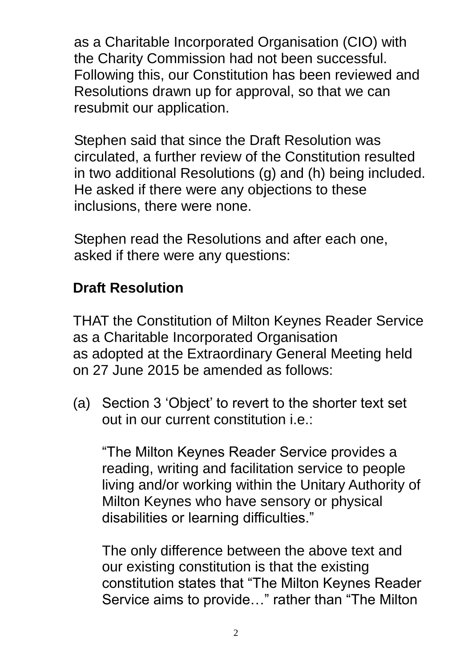as a Charitable Incorporated Organisation (CIO) with the Charity Commission had not been successful. Following this, our Constitution has been reviewed and Resolutions drawn up for approval, so that we can resubmit our application.

Stephen said that since the Draft Resolution was circulated, a further review of the Constitution resulted in two additional Resolutions (g) and (h) being included. He asked if there were any objections to these inclusions, there were none.

Stephen read the Resolutions and after each one, asked if there were any questions:

## **Draft Resolution**

THAT the Constitution of Milton Keynes Reader Service as a Charitable Incorporated Organisation as adopted at the Extraordinary General Meeting held on 27 June 2015 be amended as follows:

(a) Section 3 'Object' to revert to the shorter text set out in our current constitution i.e.:

"The Milton Keynes Reader Service provides a reading, writing and facilitation service to people living and/or working within the Unitary Authority of Milton Keynes who have sensory or physical disabilities or learning difficulties."

The only difference between the above text and our existing constitution is that the existing constitution states that "The Milton Keynes Reader Service aims to provide…" rather than "The Milton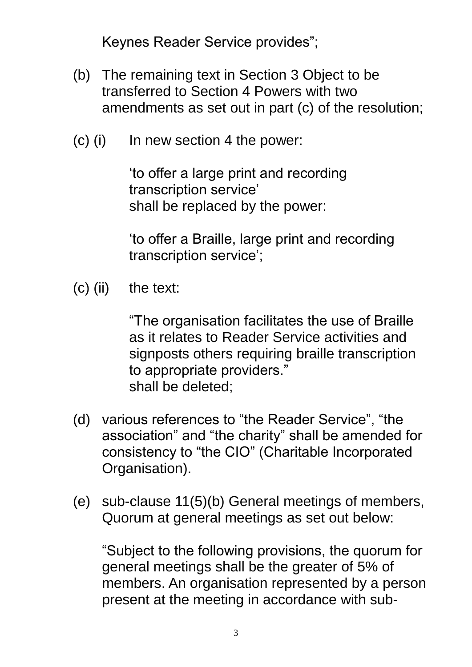Keynes Reader Service provides";

- (b) The remaining text in Section 3 Object to be transferred to Section 4 Powers with two amendments as set out in part (c) of the resolution;
- (c) (i) In new section 4 the power:

'to offer a large print and recording transcription service' shall be replaced by the power:

'to offer a Braille, large print and recording transcription service';

(c) (ii) the text:

"The organisation facilitates the use of Braille as it relates to Reader Service activities and signposts others requiring braille transcription to appropriate providers." shall be deleted;

- (d) various references to "the Reader Service", "the association" and "the charity" shall be amended for consistency to "the CIO" (Charitable Incorporated Organisation).
- (e) sub-clause 11(5)(b) General meetings of members, Quorum at general meetings as set out below:

"Subject to the following provisions, the quorum for general meetings shall be the greater of 5% of members. An organisation represented by a person present at the meeting in accordance with sub-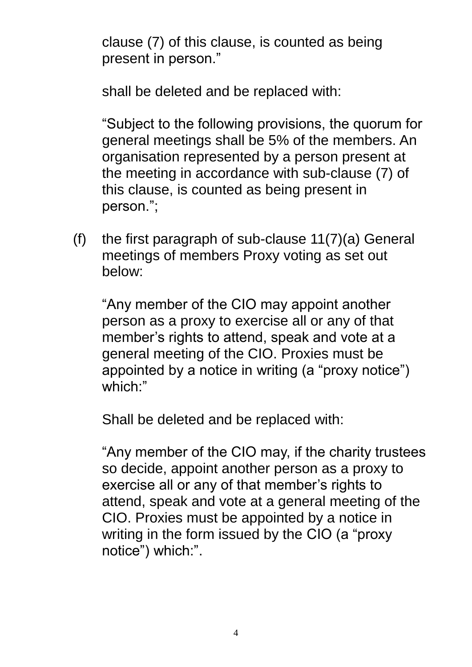clause (7) of this clause, is counted as being present in person."

shall be deleted and be replaced with:

"Subject to the following provisions, the quorum for general meetings shall be 5% of the members. An organisation represented by a person present at the meeting in accordance with sub-clause (7) of this clause, is counted as being present in person.";

(f) the first paragraph of sub-clause  $11(7)(a)$  General meetings of members Proxy voting as set out below:

"Any member of the CIO may appoint another person as a proxy to exercise all or any of that member's rights to attend, speak and vote at a general meeting of the CIO. Proxies must be appointed by a notice in writing (a "proxy notice") which:"

Shall be deleted and be replaced with:

"Any member of the CIO may, if the charity trustees so decide, appoint another person as a proxy to exercise all or any of that member's rights to attend, speak and vote at a general meeting of the CIO. Proxies must be appointed by a notice in writing in the form issued by the CIO (a "proxy notice") which:".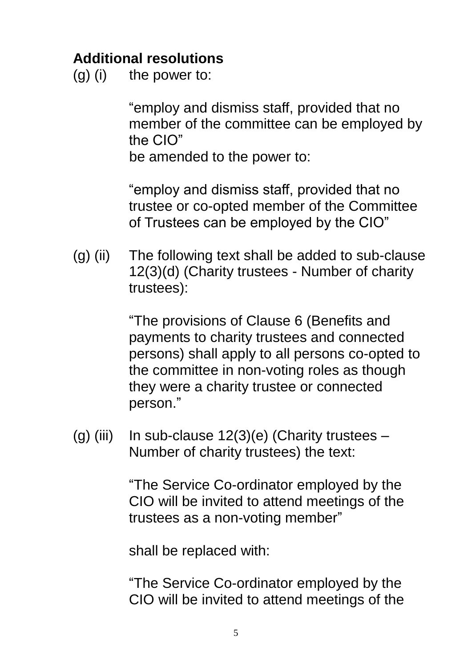### **Additional resolutions**

 $(g)$  (i) the power to:

"employ and dismiss staff, provided that no member of the committee can be employed by the CIO"

be amended to the power to:

"employ and dismiss staff, provided that no trustee or co-opted member of the Committee of Trustees can be employed by the CIO"

(g) (ii) The following text shall be added to sub-clause 12(3)(d) (Charity trustees - Number of charity trustees):

> "The provisions of Clause 6 (Benefits and payments to charity trustees and connected persons) shall apply to all persons co-opted to the committee in non-voting roles as though they were a charity trustee or connected person."

(g) (iii) In sub-clause  $12(3)(e)$  (Charity trustees – Number of charity trustees) the text:

> "The Service Co-ordinator employed by the CIO will be invited to attend meetings of the trustees as a non-voting member"

shall be replaced with:

"The Service Co-ordinator employed by the CIO will be invited to attend meetings of the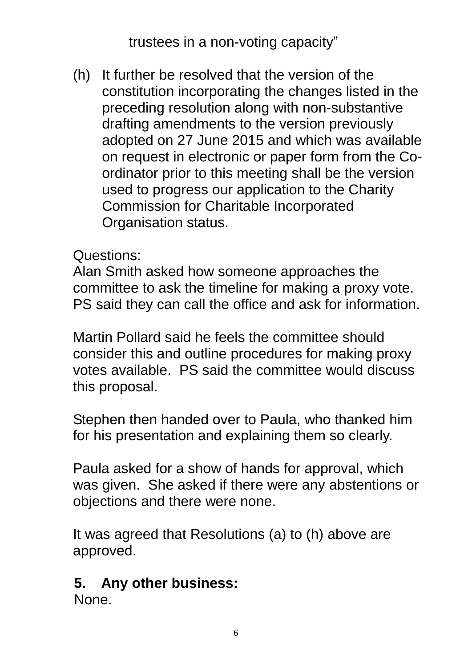trustees in a non-voting capacity"

(h) It further be resolved that the version of the constitution incorporating the changes listed in the preceding resolution along with non-substantive drafting amendments to the version previously adopted on 27 June 2015 and which was available on request in electronic or paper form from the Coordinator prior to this meeting shall be the version used to progress our application to the Charity Commission for Charitable Incorporated Organisation status.

Questions:

Alan Smith asked how someone approaches the committee to ask the timeline for making a proxy vote. PS said they can call the office and ask for information.

Martin Pollard said he feels the committee should consider this and outline procedures for making proxy votes available. PS said the committee would discuss this proposal.

Stephen then handed over to Paula, who thanked him for his presentation and explaining them so clearly.

Paula asked for a show of hands for approval, which was given. She asked if there were any abstentions or objections and there were none.

It was agreed that Resolutions (a) to (h) above are approved.

### **5. Any other business:**

None.